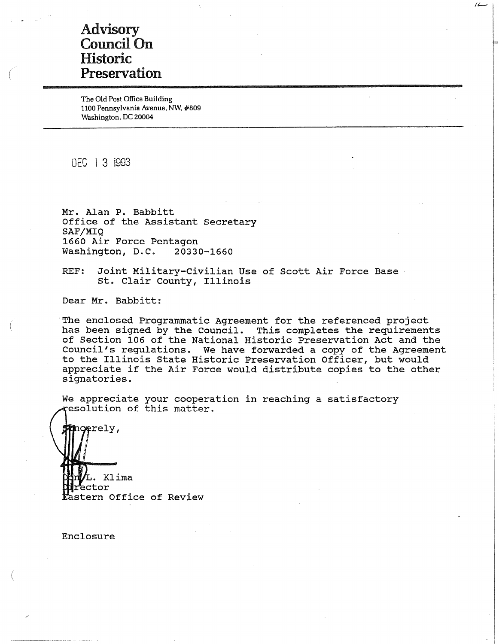# Advisory Council On **Historic** Preservation

The Old Post Office Building 1100 Pennsylvania Avenue, NW, #809 Washington, DC 20004

DEC I 3 i993

**Mr. Alan** P. **Babbitt**  Office of the Assistant Secretary **SAF/MIQ**  1660 Air Force Pentagon Washington, D.C. 20330-1660

REF: Joint Military-Civilian Use of Scott Air Force Base st. Clair County, Illinois

Dear Mr. Babbitt:

'The enclosed Programmatic Agreement for the referenced project has been signed by the Council. This completes the requirements of Section 106 of the National Historic Preservation Act and the Council's regulations. We have forwarded a copy of the Agreement to the Illinois State Historic Preservation Officer, but would appreciate if the Air Force would distribute copies to the other signatories.

*/t.-*

We appreciate your cooperation in reaching a satisfactory esolution of this matter.

. Klima ctor astern Office of Review

Enclosure

ncerely,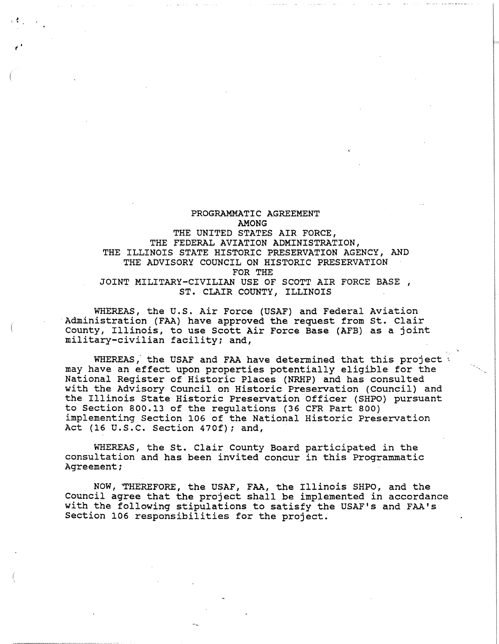PROGRAMMATIC AGREEMENT AMONG THE UNITED STATES AIR FORCE, THE FEDERAL AVIATION ADMINISTRATION, THE ILLINOIS STATE HISTORIC PRESERVATION AGENCY, AND THE ADVISORY COUNCIL ON HISTORIC PRESERVATION FOR THE JOINT MILITARY-CIVILIAN USE OF SCOTT AIR FORCE BASE, ST. CLAIR COUNTY, ILLINOIS

l, •

WHEREAS, the U.S. Air Force (USAF) and Federal Aviation Administration (FAA) have approved the request from st. Clair County, Illinois, to use Scott Air Force Base (AFB) as a joint military-civilian facility; and,

WHEREAS, the USAF and FAA have determined that this project  $\triangle$ may have an effect upon properties potentially eligible for the National Register of Historic Places (NRHP) and has consulted with the Advisory Council on Historic Preservation (Council) and the Illinois State Historic Preservation Officer (SHPO) pursuant to Section 800.13 of the regulations (36 CFR Part 800) implementing Section 106 of the National Historic Preservation Act (16 u.s.c. Section 470f); and,

WHEREAS, the St. Clair County Board participated in the consultation and has been invited concur in this Programmatic Agreement;

NOW, 'THEREFORE, the USAF, FAA, the Illinois SHPO, and the Council agree that the project shall be implemented in accordance with the following stipulations to satisfy the USAF's and FAA's Section 106 responsibilities for the project.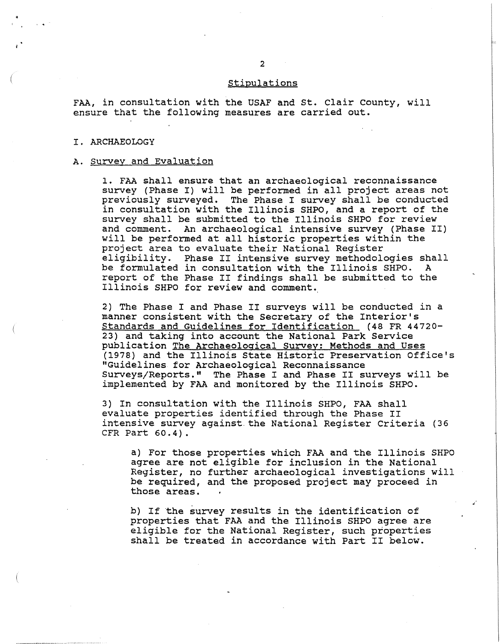### stipulations

FAA, in consultation with the USAF and st. Clair County, will ensure that the following measures are carried out.

#### I. ARCHAEOLOGY

## A. Survey and Evaluation

1. FAA shall ensure that an archaeological reconnaissance survey (Phase I) will be performed in all project areas not previously surveyed. The Phase I survey shall be conducted in consultation with the Illinois SHPO, and a report of the survey shall be submitted to the Illinois SHPO for review and comment. An archaeological intensive survey (Phase II) will be performed at all historic properties within the project area to evaluate their National Register eligibility. Phase II intensive survey methodologies shall be formulated in consultation with the Illinois SHPO. ed rormanated in consultation with the fillmois one: " Illinois SHPO for review and comment. A

2) The Phase I and Phase II surveys will be conducted in a manner consistent with the Secretary of the Interior's Standards and Guidelines for Identification (48 FR 44720- 23) and taking into account the National Park Service publication The Archaeological Survey: Methods and Uses (1978) and the Illinois State Historic Preservation Office's "Guidelines for Archaeological Reconnaissance Surveys/Reports." The Phase I and Phase II surveys will be implemented by FAA and monitored by the Illinois SHPO.

3) In consultation with the Illinois SHPO, FAA shall evaluate properties identified through the Phase II intensive survey against.the National Register Criteria (36 CFR Part **60.4).** 

a) For those properties which FAA and the Illinois SHPO agree are not eligible for inclusion in the National Register, no further archaeological investigations will be required, and the proposed project may proceed in those areas.

b) If the survey results in the identification of properties that FAA and the Illinois SHPO agree are eligible for the National Register, such properties shall be treated in accordance with Part II below.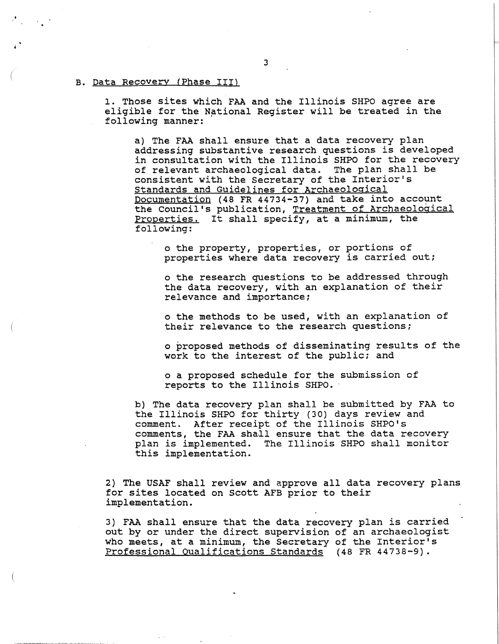### B. Data Recovery {Phase III)

1. Those sites which FAA and the Illinois SHPO agree are eligible for the National Register will be treated in the following manner:

a) The FAA shall ensure that a data recovery plan addressing substantive research questions is developed in consultation with the Illinois SHPO for the recovery of relevant archaeological data. The plan shall be consistent with the Secretary of the Interior's Standards and Guidelines for Archaeological Documentation (48 FR 44734-37) and take into account the Council's publication, Treatment of Archaeological Properties. It shall specify, at a minimum, the following:

o the property, properties, or portions of properties where data recovery is carried out;

o the research questions to be addressed through the data recovery, with an explanation of their relevance and importance;

o the methods to be used, with an explanation of their relevance to the research questions;

o proposed methods of disseminating results of the work to the interest of the public; and

o a proposed schedule for the submission of reports to the Illinois SHPO.

b) The data recovery plan shall be submitted by FAA to the Illinois SHPO for thirty (30) days review and comment. After receipt of the Illinois SHPO's comments, the FAA shall ensure that the data recovery plan is implemented. The Illinois SHPO shall monitor The Illinois SHPO shall monitor this implementation.

2) The USAF shall review and approve all data recovery plans for sites located on Scott AFB prior to their implementation.

3) FAA shall ensure that the data recovery plan is carried out by or under the direct supervision of an archaeologist who meets, at a minimum, the Secretary of the Interior's Professional Qualifications Standards (48 FR 44738-9).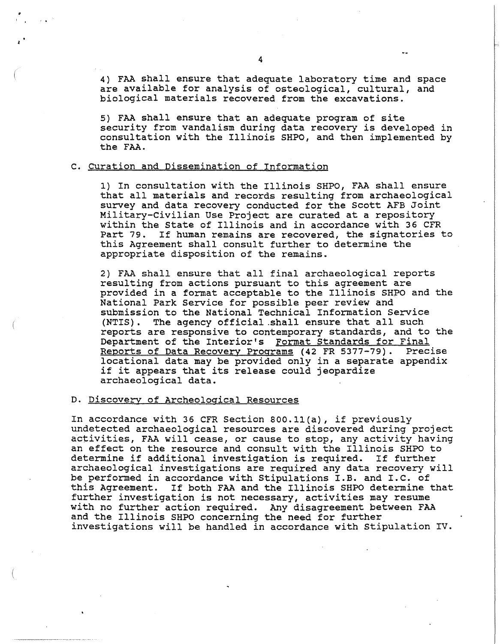4) FAA shall ensure that adequate laboratory time and space are available for analysis of osteological, cultural, and biological materials recovered from the excavations.

5) FAA shall ensure that an adequate program of site security from vandalism during data recovery is developed in consultation with the Illinois SHPO, and then implemented by the FAA.

# c. Curation and Dissemination of Information

1) In consultation with the Illinois SHPO, FAA shall ensure that all materials and records resulting from archaeological survey and data recovery conducted for the Scott AFB Joint Military-civilian Use Project are curated at a repository within the state of Illinois and in accordance with 36 CFR Part 79. If human remains are recovered, the signatories to this Agreement shall consult further to determine the appropriate disposition of the remains.

2) FAA shall ensure that all final archaeological reports resulting from actions pursuant to this agreement are provided in a format acceptable to the Illinois SHPO and the National Park Service for possible peer review and submission to the National Technical Information Service<br>(NTIS). The agency official shall ensure that all such The agency official shall ensure that all such reports are responsive to contemporary standards, and to the Department of the Interior's Format Standards for Final<br>Reports of Data Recovery Programs (42 FR 5377-79). Precise Reports of Data Recovery Programs (42 FR 5377-79). locational data may be provided only in a separate appendix if it appears that its release could jeopardize archaeological data.

# D. Discovery of Archeological Resources

-----··-·------------

In accordance with 36 CFR Section 800.ll(a), if previously undetected archaeological resources are discovered during project activities, FAA will cease, or cause to stop, any activity having an effect on the resource and consult with the Illinois SHPO to determine if additional investigation is required. If further archaeological investigations are required any data recovery will be performed in accordance with Stipulations I.B. and I.C. of this Agreement. If both FAA and the Illinois SHPO determine that further investigation is not necessary, activities may resume with no further action required. Any disagreement between FAA and the Illinois SHPO concerning the need for further investigations will be handled in accordance with Stipulation IV.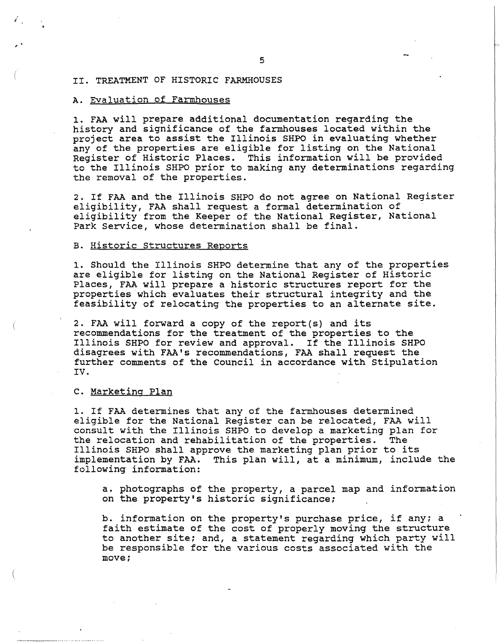## II. TREATMENT OF HISTORIC FARMHOUSES

# A. Evaluation of Farmhouses

J

, .

1. FAA will prepare additional documentation regarding the history and significance of the farmhouses located within the project area to assist the Illinois SHPO in evaluating whether any of the properties are eligible for listing on the National Register of Historic Places. This information will be provided to the Illinois SHPO prior to making any determinations regarding the removal of the properties.

2. If FAA and the Illinois SHPO do not agree on National Register eligibility, FAA shall request a formal determination of eligibility from the Keeper of the National Register, National Park Service, whose determination shall be final.

#### B. Historic Structures Reports

1. Should the Illinois SHPO determine that any of the properties are eligible for listing on the National Register of Historic Places, FAA will prepare a historic structures report for the properties which evaluates their structural integrity and the feasibility of relocating the properties to an alternate site.

2. FAA will forward a copy of the report(s) and its recommendations for the treatment of the properties to the Illinois SHPO for review and approval. If the Illinois SHPO disagrees with FAA's recommendations, FAA shall request the further comments of the Council in accordance with Stipulation IV.

## c. Marketing Plan

1. If FAA determines that any of the farmhouses determined eligible for the National Register can be relocated, FAA will consult with the Illinois SHPO to develop a marketing plan for the relocation and rehabilitation of the properties. The Illinois SHPO shall approve the marketing plan prior to its implementation by FAA. This plan will, at a minimum, inclue This plan will, at a minimum, include the following information:

a. photographs of the property, a parcel map and information on the property's historic significance;

b. information on the property's purchase price, if any; a faith estimate of the cost of properly moving the structure to another site; and, a statement regarding which party will be responsible for the various costs associated with the move;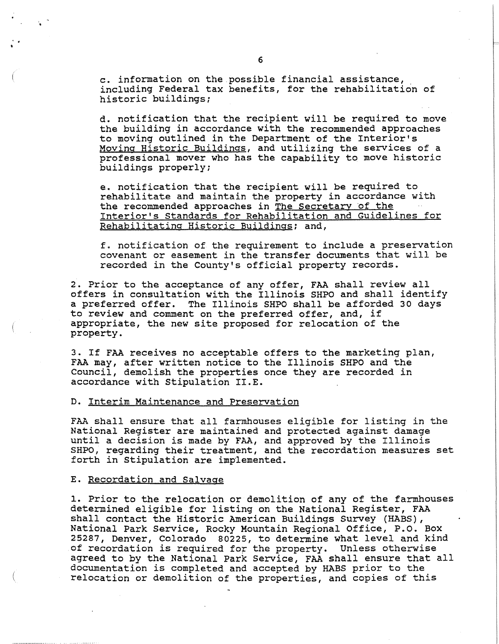c. information on the possible financial assistance,. including Federal tax benefits, for the rehabilitation of historic buildings;

d. notification that the recipient will be required to move the building in accordance with the recommended approaches to moving outlined in the Department of the Interior's Moving Historic Buildings, and utilizing the services of a professional mover who has the capability to move historic buildings properly;

e. notification that the recipient will be required to rehabilitate and maintain the property in accordance with the recommended approaches in The Secretary of the Interior's Standards for Rehabilitation and Guidelines for Rehabilitating Historic Buildings; and,

f. notification of the requirement to include a preservation covenant or easement in the transfer documents that will be recorded in the County's official property records.

2. Prior to the acceptance of any offer, FAA shall review all offers in consultation with the Illinois SHPO and shall identify a preferred offer. The Illinois SHPO shall be afforded 30 days to review and comment on the preferred offer, and, if appropriate, the new site proposed for relocation of the property.

3. If FAA receives no acceptable offers to the marketing plan, FAA may, after written notice to the Illinois SHPO and the Council, demolish the properties once they are recorded in accordance with Stipulation II.E.

## D. Interim Maintenance and Preservation

FAA shall ensure that all farmhouses eligible for listing in the National Register are maintained and protected against damage until a decision is made by FAA, and approved by the Illinois SHPO, regarding their treatment, and the recordation measures set forth in Stipulation are implemented.

# E. Recordation and Salvage

.. •

> 1. Prior to the relocation or demolition of any of the farmhouses determined eligible for listing on the National Register, FAA shall contact the Historic American Buildings Survey (HABS), National Park Service, Rocky Mountain Regional Office, P.O. Box 25287, Denver, Colorado 80225, to determine what level and kind of recordation is required for the property. Unless otherwise agreed to by the National Park Service, FAA shall ensure that all documentation is completed and accepted by HABS prior to the relocation or demolition of the properties, and copies of this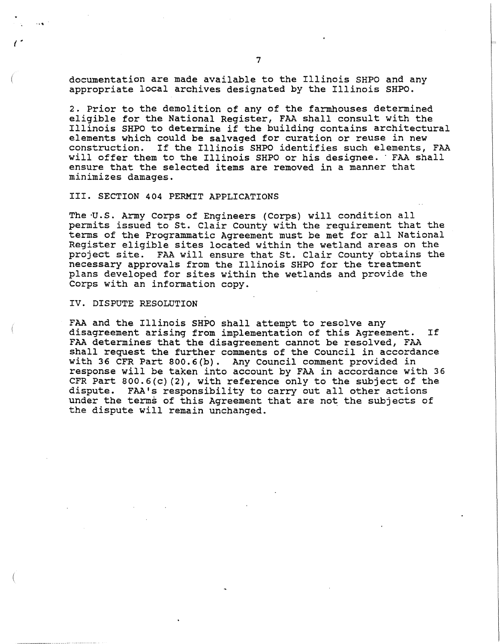documentation are made available to the Illinois SHPO and any appropriate local archives designated by the Illinois SHPO.

2. Prior to the demolition of any of the farmhouses determined eligible for the National Register, FAA shall consult with the Illinois SHPO to determine if the building contains architectural elements which could be salvaged for curation or reuse in new construction. If the Illinois SHPO identifies such elements. construction. If the Illinois SHPO identifies such elements, FAA will offer them to the Illinois SHPO or his designee. · FAA shall ensure that the selected items are removed in a manner that minimizes damages.

## III. SECTION 404 PERMIT APPLICATIONS

The ·U.S. Army Corps of Engineers (Corps) will condition all permits issued to St. Clair County with the requirement that the terms of the Programmatic Agreement must be met for all National Register eligible sites located within the wetland areas on the project site. FAA will ensure that St. Clair County obtains the necessary approvals from the Illinois SHPO for the treatment plans developed for sites within the wetlands and provide the Corps with an information copy.

#### IV. DISPUTE RESOLUTION

*(* .

FAA and the Illinois SHPO shall attempt to resolve any disagreement arising from implementation of this Agreement. If FAA determines that the disagreement cannot be resolved, FAA shall request the further comments of the Council in accordance with 36 CFR Part 800.6(b). Any Council comment provided in response will be taken into account by FAA in accordance with 36 CFR Part  $800.6(c)(2)$ , with reference only to the subject of the dispute. FAA's responsibility to carry out all other actions FAA's responsibility to carry out all other actions under the terms of this Agreement that are not the subjects of the dispute will remain unchanged.